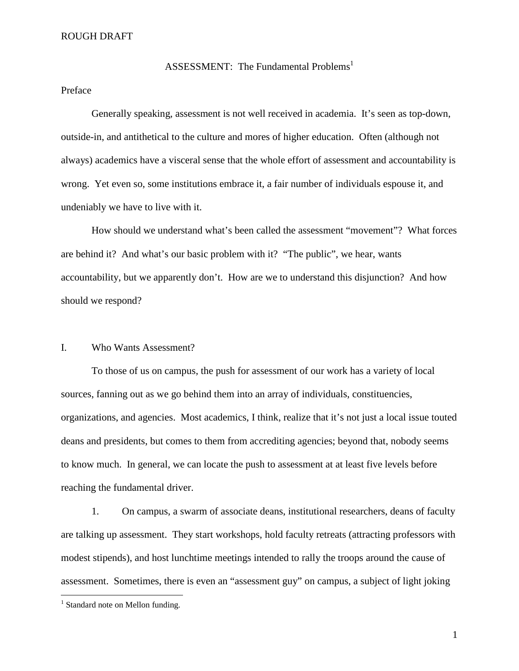ASSESSMENT: The Fundamental Problems<sup>1</sup>

# Preface

 Generally speaking, assessment is not well received in academia. It's seen as top-down, outside-in, and antithetical to the culture and mores of higher education. Often (although not always) academics have a visceral sense that the whole effort of assessment and accountability is wrong. Yet even so, some institutions embrace it, a fair number of individuals espouse it, and undeniably we have to live with it.

 How should we understand what's been called the assessment "movement"? What forces are behind it? And what's our basic problem with it? "The public", we hear, wants accountability, but we apparently don't. How are we to understand this disjunction? And how should we respond?

# I. Who Wants Assessment?

 To those of us on campus, the push for assessment of our work has a variety of local sources, fanning out as we go behind them into an array of individuals, constituencies, organizations, and agencies. Most academics, I think, realize that it's not just a local issue touted deans and presidents, but comes to them from accrediting agencies; beyond that, nobody seems to know much. In general, we can locate the push to assessment at at least five levels before reaching the fundamental driver.

 1. On campus, a swarm of associate deans, institutional researchers, deans of faculty are talking up assessment. They start workshops, hold faculty retreats (attracting professors with modest stipends), and host lunchtime meetings intended to rally the troops around the cause of assessment. Sometimes, there is even an "assessment guy" on campus, a subject of light joking

 $\overline{a}$ 

<sup>&</sup>lt;sup>1</sup> Standard note on Mellon funding.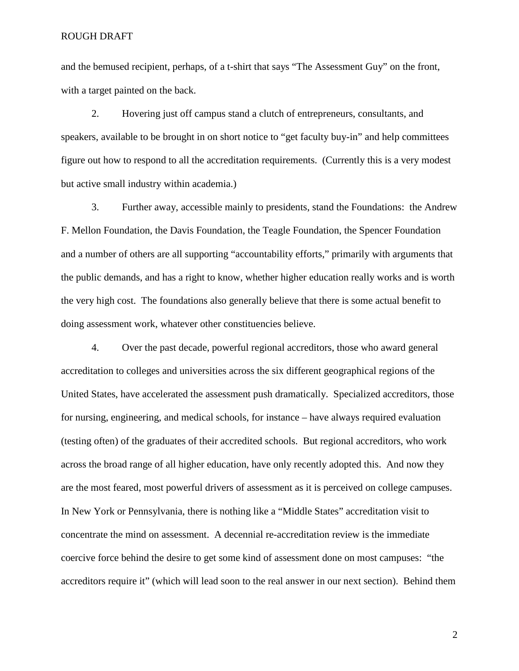and the bemused recipient, perhaps, of a t-shirt that says "The Assessment Guy" on the front, with a target painted on the back.

 2. Hovering just off campus stand a clutch of entrepreneurs, consultants, and speakers, available to be brought in on short notice to "get faculty buy-in" and help committees figure out how to respond to all the accreditation requirements. (Currently this is a very modest but active small industry within academia.)

 3. Further away, accessible mainly to presidents, stand the Foundations: the Andrew F. Mellon Foundation, the Davis Foundation, the Teagle Foundation, the Spencer Foundation and a number of others are all supporting "accountability efforts," primarily with arguments that the public demands, and has a right to know, whether higher education really works and is worth the very high cost. The foundations also generally believe that there is some actual benefit to doing assessment work, whatever other constituencies believe.

 4. Over the past decade, powerful regional accreditors, those who award general accreditation to colleges and universities across the six different geographical regions of the United States, have accelerated the assessment push dramatically. Specialized accreditors, those for nursing, engineering, and medical schools, for instance – have always required evaluation (testing often) of the graduates of their accredited schools. But regional accreditors, who work across the broad range of all higher education, have only recently adopted this. And now they are the most feared, most powerful drivers of assessment as it is perceived on college campuses. In New York or Pennsylvania, there is nothing like a "Middle States" accreditation visit to concentrate the mind on assessment. A decennial re-accreditation review is the immediate coercive force behind the desire to get some kind of assessment done on most campuses: "the accreditors require it" (which will lead soon to the real answer in our next section). Behind them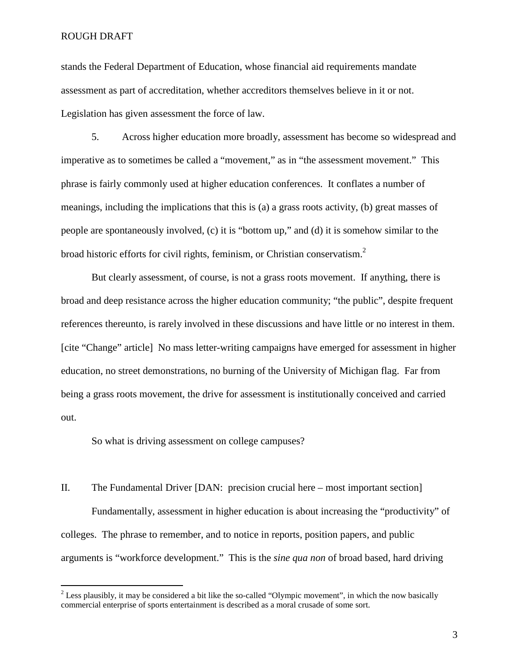stands the Federal Department of Education, whose financial aid requirements mandate assessment as part of accreditation, whether accreditors themselves believe in it or not. Legislation has given assessment the force of law.

 5. Across higher education more broadly, assessment has become so widespread and imperative as to sometimes be called a "movement," as in "the assessment movement." This phrase is fairly commonly used at higher education conferences. It conflates a number of meanings, including the implications that this is (a) a grass roots activity, (b) great masses of people are spontaneously involved, (c) it is "bottom up," and (d) it is somehow similar to the broad historic efforts for civil rights, feminism, or Christian conservatism.<sup>2</sup>

But clearly assessment, of course, is not a grass roots movement. If anything, there is broad and deep resistance across the higher education community; "the public", despite frequent references thereunto, is rarely involved in these discussions and have little or no interest in them. [cite "Change" article] No mass letter-writing campaigns have emerged for assessment in higher education, no street demonstrations, no burning of the University of Michigan flag. Far from being a grass roots movement, the drive for assessment is institutionally conceived and carried out.

So what is driving assessment on college campuses?

II. The Fundamental Driver [DAN: precision crucial here – most important section] Fundamentally, assessment in higher education is about increasing the "productivity" of colleges. The phrase to remember, and to notice in reports, position papers, and public arguments is "workforce development." This is the *sine qua non* of broad based, hard driving

<sup>&</sup>lt;sup>2</sup> Less plausibly, it may be considered a bit like the so-called "Olympic movement", in which the now basically commercial enterprise of sports entertainment is described as a moral crusade of some sort.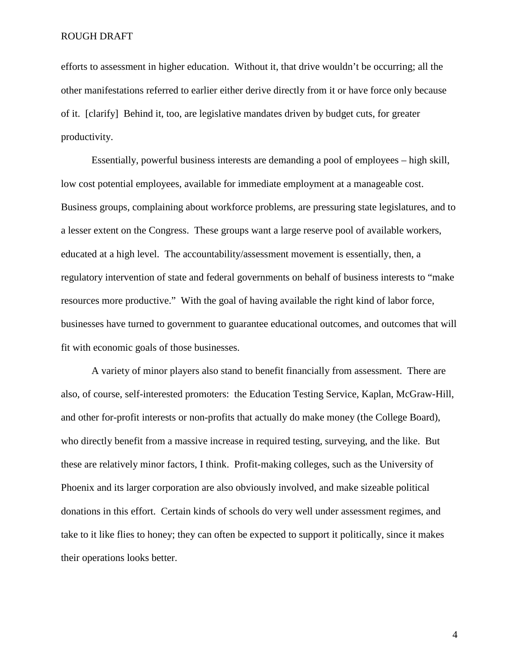efforts to assessment in higher education. Without it, that drive wouldn't be occurring; all the other manifestations referred to earlier either derive directly from it or have force only because of it. [clarify] Behind it, too, are legislative mandates driven by budget cuts, for greater productivity.

 Essentially, powerful business interests are demanding a pool of employees – high skill, low cost potential employees, available for immediate employment at a manageable cost. Business groups, complaining about workforce problems, are pressuring state legislatures, and to a lesser extent on the Congress. These groups want a large reserve pool of available workers, educated at a high level. The accountability/assessment movement is essentially, then, a regulatory intervention of state and federal governments on behalf of business interests to "make resources more productive." With the goal of having available the right kind of labor force, businesses have turned to government to guarantee educational outcomes, and outcomes that will fit with economic goals of those businesses.

 A variety of minor players also stand to benefit financially from assessment. There are also, of course, self-interested promoters: the Education Testing Service, Kaplan, McGraw-Hill, and other for-profit interests or non-profits that actually do make money (the College Board), who directly benefit from a massive increase in required testing, surveying, and the like. But these are relatively minor factors, I think. Profit-making colleges, such as the University of Phoenix and its larger corporation are also obviously involved, and make sizeable political donations in this effort. Certain kinds of schools do very well under assessment regimes, and take to it like flies to honey; they can often be expected to support it politically, since it makes their operations looks better.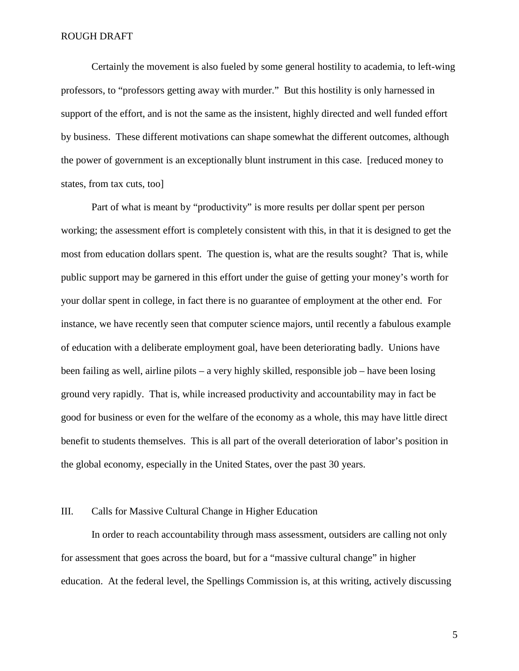Certainly the movement is also fueled by some general hostility to academia, to left-wing professors, to "professors getting away with murder." But this hostility is only harnessed in support of the effort, and is not the same as the insistent, highly directed and well funded effort by business. These different motivations can shape somewhat the different outcomes, although the power of government is an exceptionally blunt instrument in this case. [reduced money to states, from tax cuts, too]

 Part of what is meant by "productivity" is more results per dollar spent per person working; the assessment effort is completely consistent with this, in that it is designed to get the most from education dollars spent. The question is, what are the results sought? That is, while public support may be garnered in this effort under the guise of getting your money's worth for your dollar spent in college, in fact there is no guarantee of employment at the other end. For instance, we have recently seen that computer science majors, until recently a fabulous example of education with a deliberate employment goal, have been deteriorating badly. Unions have been failing as well, airline pilots – a very highly skilled, responsible job – have been losing ground very rapidly. That is, while increased productivity and accountability may in fact be good for business or even for the welfare of the economy as a whole, this may have little direct benefit to students themselves. This is all part of the overall deterioration of labor's position in the global economy, especially in the United States, over the past 30 years.

# III. Calls for Massive Cultural Change in Higher Education

 In order to reach accountability through mass assessment, outsiders are calling not only for assessment that goes across the board, but for a "massive cultural change" in higher education. At the federal level, the Spellings Commission is, at this writing, actively discussing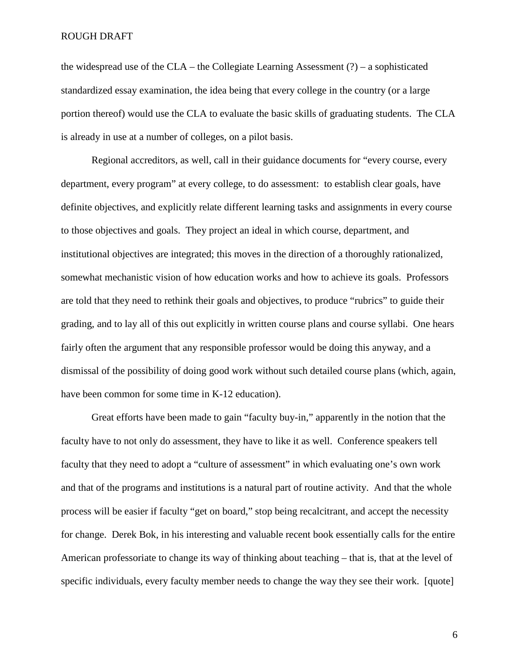the widespread use of the CLA – the Collegiate Learning Assessment  $(?)$  – a sophisticated standardized essay examination, the idea being that every college in the country (or a large portion thereof) would use the CLA to evaluate the basic skills of graduating students. The CLA is already in use at a number of colleges, on a pilot basis.

 Regional accreditors, as well, call in their guidance documents for "every course, every department, every program" at every college, to do assessment: to establish clear goals, have definite objectives, and explicitly relate different learning tasks and assignments in every course to those objectives and goals. They project an ideal in which course, department, and institutional objectives are integrated; this moves in the direction of a thoroughly rationalized, somewhat mechanistic vision of how education works and how to achieve its goals. Professors are told that they need to rethink their goals and objectives, to produce "rubrics" to guide their grading, and to lay all of this out explicitly in written course plans and course syllabi. One hears fairly often the argument that any responsible professor would be doing this anyway, and a dismissal of the possibility of doing good work without such detailed course plans (which, again, have been common for some time in K-12 education).

 Great efforts have been made to gain "faculty buy-in," apparently in the notion that the faculty have to not only do assessment, they have to like it as well. Conference speakers tell faculty that they need to adopt a "culture of assessment" in which evaluating one's own work and that of the programs and institutions is a natural part of routine activity. And that the whole process will be easier if faculty "get on board," stop being recalcitrant, and accept the necessity for change. Derek Bok, in his interesting and valuable recent book essentially calls for the entire American professoriate to change its way of thinking about teaching – that is, that at the level of specific individuals, every faculty member needs to change the way they see their work. [quote]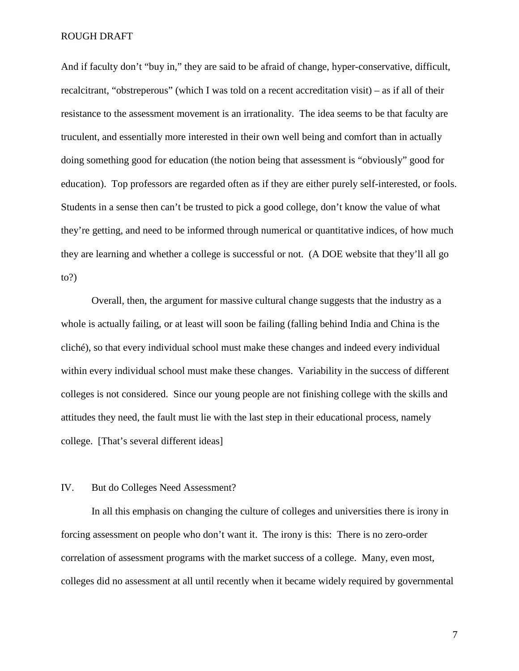And if faculty don't "buy in," they are said to be afraid of change, hyper-conservative, difficult, recalcitrant, "obstreperous" (which I was told on a recent accreditation visit) – as if all of their resistance to the assessment movement is an irrationality. The idea seems to be that faculty are truculent, and essentially more interested in their own well being and comfort than in actually doing something good for education (the notion being that assessment is "obviously" good for education). Top professors are regarded often as if they are either purely self-interested, or fools. Students in a sense then can't be trusted to pick a good college, don't know the value of what they're getting, and need to be informed through numerical or quantitative indices, of how much they are learning and whether a college is successful or not. (A DOE website that they'll all go to?)

 Overall, then, the argument for massive cultural change suggests that the industry as a whole is actually failing, or at least will soon be failing (falling behind India and China is the cliché), so that every individual school must make these changes and indeed every individual within every individual school must make these changes. Variability in the success of different colleges is not considered. Since our young people are not finishing college with the skills and attitudes they need, the fault must lie with the last step in their educational process, namely college. [That's several different ideas]

# IV. But do Colleges Need Assessment?

 In all this emphasis on changing the culture of colleges and universities there is irony in forcing assessment on people who don't want it. The irony is this: There is no zero-order correlation of assessment programs with the market success of a college. Many, even most, colleges did no assessment at all until recently when it became widely required by governmental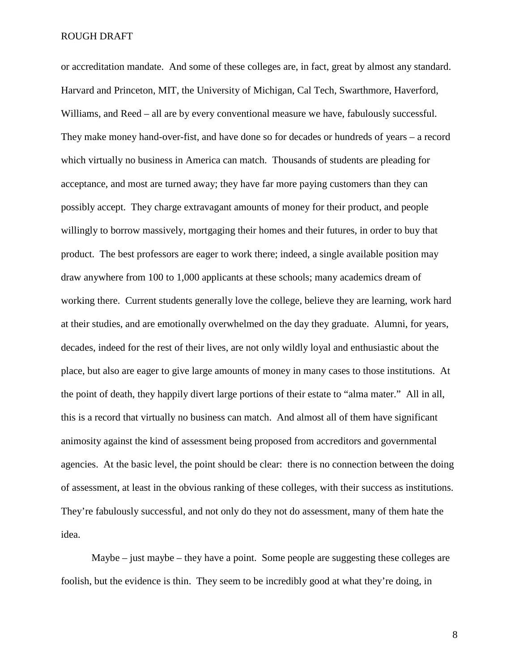or accreditation mandate. And some of these colleges are, in fact, great by almost any standard. Harvard and Princeton, MIT, the University of Michigan, Cal Tech, Swarthmore, Haverford, Williams, and Reed – all are by every conventional measure we have, fabulously successful. They make money hand-over-fist, and have done so for decades or hundreds of years – a record which virtually no business in America can match. Thousands of students are pleading for acceptance, and most are turned away; they have far more paying customers than they can possibly accept. They charge extravagant amounts of money for their product, and people willingly to borrow massively, mortgaging their homes and their futures, in order to buy that product. The best professors are eager to work there; indeed, a single available position may draw anywhere from 100 to 1,000 applicants at these schools; many academics dream of working there. Current students generally love the college, believe they are learning, work hard at their studies, and are emotionally overwhelmed on the day they graduate. Alumni, for years, decades, indeed for the rest of their lives, are not only wildly loyal and enthusiastic about the place, but also are eager to give large amounts of money in many cases to those institutions. At the point of death, they happily divert large portions of their estate to "alma mater." All in all, this is a record that virtually no business can match. And almost all of them have significant animosity against the kind of assessment being proposed from accreditors and governmental agencies. At the basic level, the point should be clear: there is no connection between the doing of assessment, at least in the obvious ranking of these colleges, with their success as institutions. They're fabulously successful, and not only do they not do assessment, many of them hate the idea.

 Maybe – just maybe – they have a point. Some people are suggesting these colleges are foolish, but the evidence is thin. They seem to be incredibly good at what they're doing, in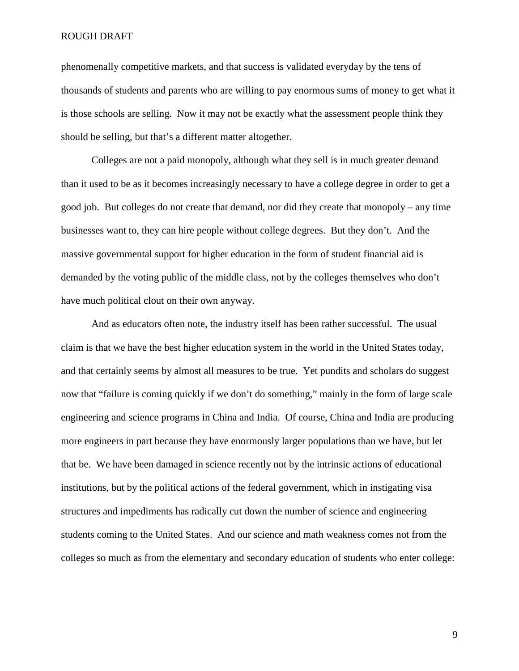phenomenally competitive markets, and that success is validated everyday by the tens of thousands of students and parents who are willing to pay enormous sums of money to get what it is those schools are selling. Now it may not be exactly what the assessment people think they should be selling, but that's a different matter altogether.

 Colleges are not a paid monopoly, although what they sell is in much greater demand than it used to be as it becomes increasingly necessary to have a college degree in order to get a good job. But colleges do not create that demand, nor did they create that monopoly – any time businesses want to, they can hire people without college degrees. But they don't. And the massive governmental support for higher education in the form of student financial aid is demanded by the voting public of the middle class, not by the colleges themselves who don't have much political clout on their own anyway.

 And as educators often note, the industry itself has been rather successful. The usual claim is that we have the best higher education system in the world in the United States today, and that certainly seems by almost all measures to be true. Yet pundits and scholars do suggest now that "failure is coming quickly if we don't do something," mainly in the form of large scale engineering and science programs in China and India. Of course, China and India are producing more engineers in part because they have enormously larger populations than we have, but let that be. We have been damaged in science recently not by the intrinsic actions of educational institutions, but by the political actions of the federal government, which in instigating visa structures and impediments has radically cut down the number of science and engineering students coming to the United States. And our science and math weakness comes not from the colleges so much as from the elementary and secondary education of students who enter college: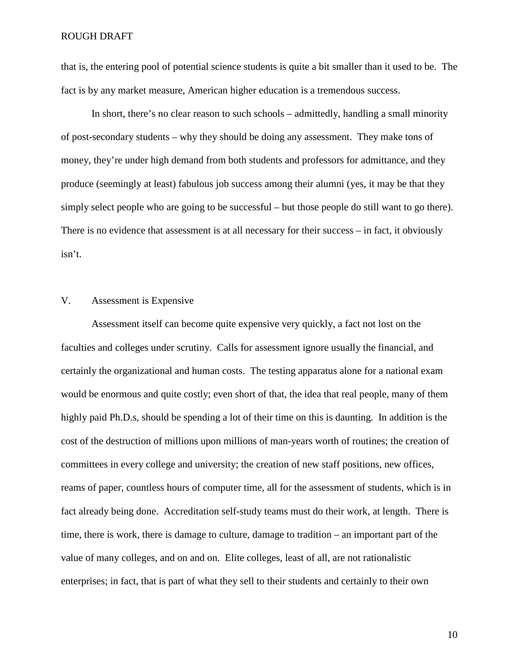that is, the entering pool of potential science students is quite a bit smaller than it used to be. The fact is by any market measure, American higher education is a tremendous success.

 In short, there's no clear reason to such schools – admittedly, handling a small minority of post-secondary students – why they should be doing any assessment. They make tons of money, they're under high demand from both students and professors for admittance, and they produce (seemingly at least) fabulous job success among their alumni (yes, it may be that they simply select people who are going to be successful – but those people do still want to go there). There is no evidence that assessment is at all necessary for their success – in fact, it obviously isn't.

# V. Assessment is Expensive

 Assessment itself can become quite expensive very quickly, a fact not lost on the faculties and colleges under scrutiny. Calls for assessment ignore usually the financial, and certainly the organizational and human costs. The testing apparatus alone for a national exam would be enormous and quite costly; even short of that, the idea that real people, many of them highly paid Ph.D.s, should be spending a lot of their time on this is daunting. In addition is the cost of the destruction of millions upon millions of man-years worth of routines; the creation of committees in every college and university; the creation of new staff positions, new offices, reams of paper, countless hours of computer time, all for the assessment of students, which is in fact already being done. Accreditation self-study teams must do their work, at length. There is time, there is work, there is damage to culture, damage to tradition – an important part of the value of many colleges, and on and on. Elite colleges, least of all, are not rationalistic enterprises; in fact, that is part of what they sell to their students and certainly to their own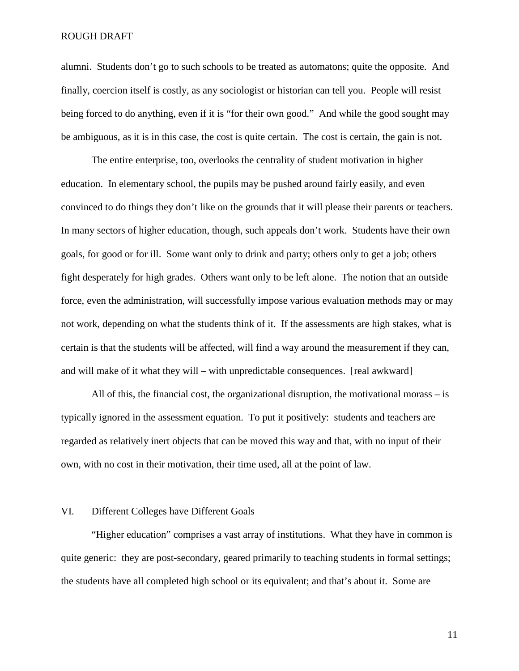alumni. Students don't go to such schools to be treated as automatons; quite the opposite. And finally, coercion itself is costly, as any sociologist or historian can tell you. People will resist being forced to do anything, even if it is "for their own good." And while the good sought may be ambiguous, as it is in this case, the cost is quite certain. The cost is certain, the gain is not.

The entire enterprise, too, overlooks the centrality of student motivation in higher education. In elementary school, the pupils may be pushed around fairly easily, and even convinced to do things they don't like on the grounds that it will please their parents or teachers. In many sectors of higher education, though, such appeals don't work. Students have their own goals, for good or for ill. Some want only to drink and party; others only to get a job; others fight desperately for high grades. Others want only to be left alone. The notion that an outside force, even the administration, will successfully impose various evaluation methods may or may not work, depending on what the students think of it. If the assessments are high stakes, what is certain is that the students will be affected, will find a way around the measurement if they can, and will make of it what they will – with unpredictable consequences. [real awkward]

 All of this, the financial cost, the organizational disruption, the motivational morass – is typically ignored in the assessment equation. To put it positively: students and teachers are regarded as relatively inert objects that can be moved this way and that, with no input of their own, with no cost in their motivation, their time used, all at the point of law.

# VI. Different Colleges have Different Goals

 "Higher education" comprises a vast array of institutions. What they have in common is quite generic: they are post-secondary, geared primarily to teaching students in formal settings; the students have all completed high school or its equivalent; and that's about it. Some are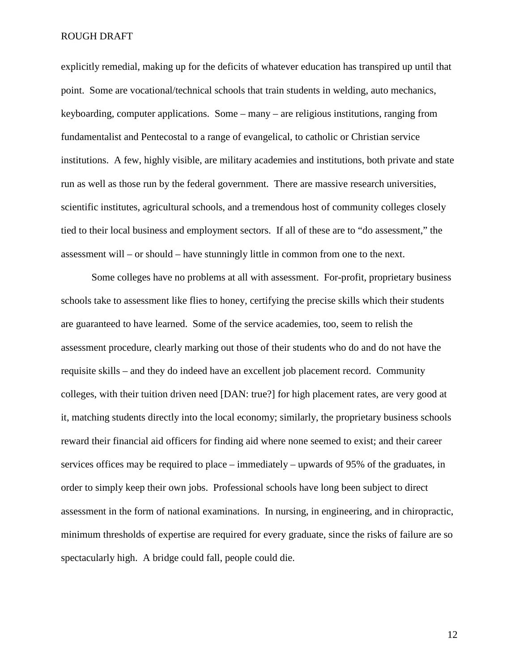explicitly remedial, making up for the deficits of whatever education has transpired up until that point. Some are vocational/technical schools that train students in welding, auto mechanics, keyboarding, computer applications. Some – many – are religious institutions, ranging from fundamentalist and Pentecostal to a range of evangelical, to catholic or Christian service institutions. A few, highly visible, are military academies and institutions, both private and state run as well as those run by the federal government. There are massive research universities, scientific institutes, agricultural schools, and a tremendous host of community colleges closely tied to their local business and employment sectors. If all of these are to "do assessment," the assessment will – or should – have stunningly little in common from one to the next.

 Some colleges have no problems at all with assessment. For-profit, proprietary business schools take to assessment like flies to honey, certifying the precise skills which their students are guaranteed to have learned. Some of the service academies, too, seem to relish the assessment procedure, clearly marking out those of their students who do and do not have the requisite skills – and they do indeed have an excellent job placement record. Community colleges, with their tuition driven need [DAN: true?] for high placement rates, are very good at it, matching students directly into the local economy; similarly, the proprietary business schools reward their financial aid officers for finding aid where none seemed to exist; and their career services offices may be required to place – immediately – upwards of 95% of the graduates, in order to simply keep their own jobs. Professional schools have long been subject to direct assessment in the form of national examinations. In nursing, in engineering, and in chiropractic, minimum thresholds of expertise are required for every graduate, since the risks of failure are so spectacularly high. A bridge could fall, people could die.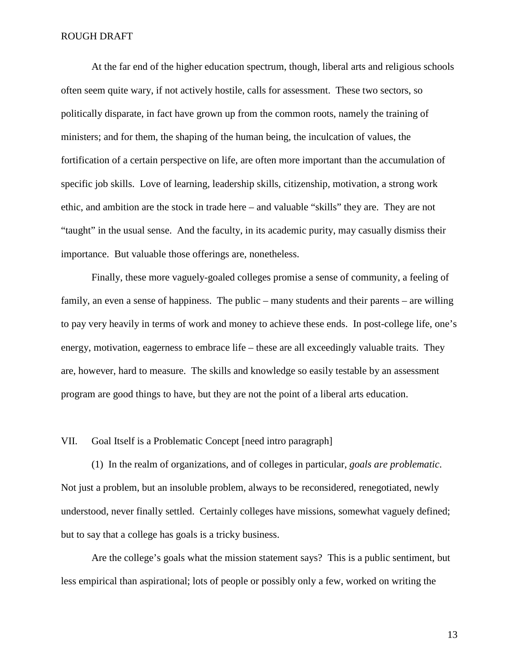At the far end of the higher education spectrum, though, liberal arts and religious schools often seem quite wary, if not actively hostile, calls for assessment. These two sectors, so politically disparate, in fact have grown up from the common roots, namely the training of ministers; and for them, the shaping of the human being, the inculcation of values, the fortification of a certain perspective on life, are often more important than the accumulation of specific job skills. Love of learning, leadership skills, citizenship, motivation, a strong work ethic, and ambition are the stock in trade here – and valuable "skills" they are. They are not "taught" in the usual sense. And the faculty, in its academic purity, may casually dismiss their importance. But valuable those offerings are, nonetheless.

 Finally, these more vaguely-goaled colleges promise a sense of community, a feeling of family, an even a sense of happiness. The public – many students and their parents – are willing to pay very heavily in terms of work and money to achieve these ends. In post-college life, one's energy, motivation, eagerness to embrace life – these are all exceedingly valuable traits. They are, however, hard to measure. The skills and knowledge so easily testable by an assessment program are good things to have, but they are not the point of a liberal arts education.

# VII. Goal Itself is a Problematic Concept [need intro paragraph]

 (1) In the realm of organizations, and of colleges in particular, *goals are problematic*. Not just a problem, but an insoluble problem, always to be reconsidered, renegotiated, newly understood, never finally settled. Certainly colleges have missions, somewhat vaguely defined; but to say that a college has goals is a tricky business.

 Are the college's goals what the mission statement says? This is a public sentiment, but less empirical than aspirational; lots of people or possibly only a few, worked on writing the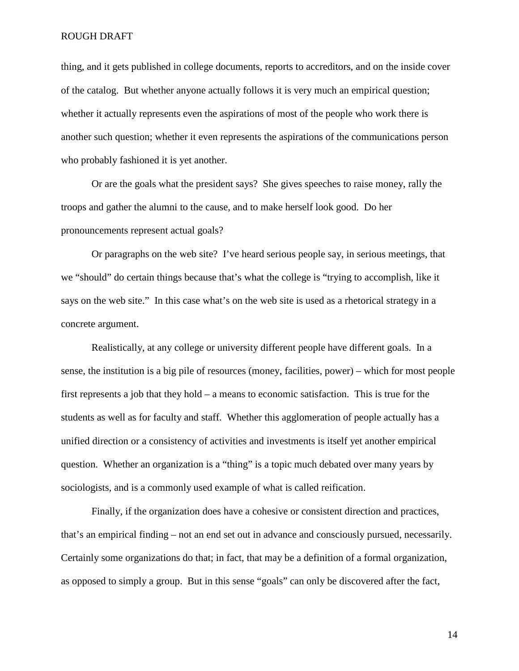thing, and it gets published in college documents, reports to accreditors, and on the inside cover of the catalog. But whether anyone actually follows it is very much an empirical question; whether it actually represents even the aspirations of most of the people who work there is another such question; whether it even represents the aspirations of the communications person who probably fashioned it is yet another.

 Or are the goals what the president says? She gives speeches to raise money, rally the troops and gather the alumni to the cause, and to make herself look good. Do her pronouncements represent actual goals?

 Or paragraphs on the web site? I've heard serious people say, in serious meetings, that we "should" do certain things because that's what the college is "trying to accomplish, like it says on the web site." In this case what's on the web site is used as a rhetorical strategy in a concrete argument.

 Realistically, at any college or university different people have different goals. In a sense, the institution is a big pile of resources (money, facilities, power) – which for most people first represents a job that they hold – a means to economic satisfaction. This is true for the students as well as for faculty and staff. Whether this agglomeration of people actually has a unified direction or a consistency of activities and investments is itself yet another empirical question. Whether an organization is a "thing" is a topic much debated over many years by sociologists, and is a commonly used example of what is called reification.

 Finally, if the organization does have a cohesive or consistent direction and practices, that's an empirical finding – not an end set out in advance and consciously pursued, necessarily. Certainly some organizations do that; in fact, that may be a definition of a formal organization, as opposed to simply a group. But in this sense "goals" can only be discovered after the fact,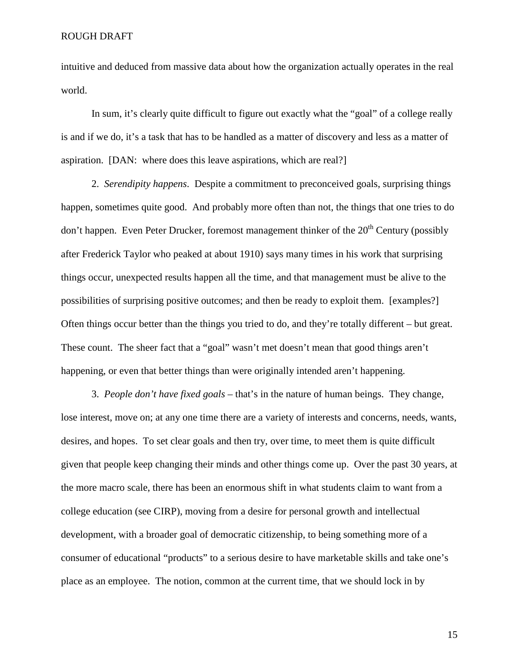intuitive and deduced from massive data about how the organization actually operates in the real world.

In sum, it's clearly quite difficult to figure out exactly what the "goal" of a college really is and if we do, it's a task that has to be handled as a matter of discovery and less as a matter of aspiration. [DAN: where does this leave aspirations, which are real?]

 2. *Serendipity happens*. Despite a commitment to preconceived goals, surprising things happen, sometimes quite good. And probably more often than not, the things that one tries to do don't happen. Even Peter Drucker, foremost management thinker of the  $20<sup>th</sup>$  Century (possibly after Frederick Taylor who peaked at about 1910) says many times in his work that surprising things occur, unexpected results happen all the time, and that management must be alive to the possibilities of surprising positive outcomes; and then be ready to exploit them. [examples?] Often things occur better than the things you tried to do, and they're totally different – but great. These count. The sheer fact that a "goal" wasn't met doesn't mean that good things aren't happening, or even that better things than were originally intended aren't happening.

 3. *People don't have fixed goals* – that's in the nature of human beings. They change, lose interest, move on; at any one time there are a variety of interests and concerns, needs, wants, desires, and hopes. To set clear goals and then try, over time, to meet them is quite difficult given that people keep changing their minds and other things come up. Over the past 30 years, at the more macro scale, there has been an enormous shift in what students claim to want from a college education (see CIRP), moving from a desire for personal growth and intellectual development, with a broader goal of democratic citizenship, to being something more of a consumer of educational "products" to a serious desire to have marketable skills and take one's place as an employee. The notion, common at the current time, that we should lock in by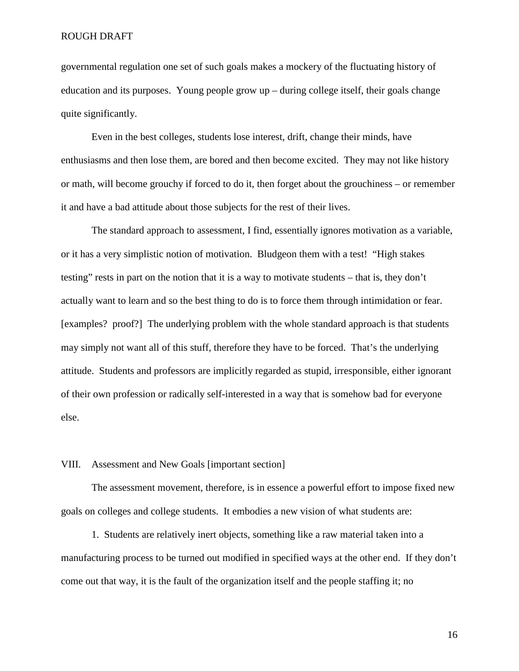governmental regulation one set of such goals makes a mockery of the fluctuating history of education and its purposes. Young people grow up – during college itself, their goals change quite significantly.

 Even in the best colleges, students lose interest, drift, change their minds, have enthusiasms and then lose them, are bored and then become excited. They may not like history or math, will become grouchy if forced to do it, then forget about the grouchiness – or remember it and have a bad attitude about those subjects for the rest of their lives.

The standard approach to assessment, I find, essentially ignores motivation as a variable, or it has a very simplistic notion of motivation. Bludgeon them with a test! "High stakes testing" rests in part on the notion that it is a way to motivate students – that is, they don't actually want to learn and so the best thing to do is to force them through intimidation or fear. [examples? proof?] The underlying problem with the whole standard approach is that students may simply not want all of this stuff, therefore they have to be forced. That's the underlying attitude. Students and professors are implicitly regarded as stupid, irresponsible, either ignorant of their own profession or radically self-interested in a way that is somehow bad for everyone else.

# VIII. Assessment and New Goals [important section]

 The assessment movement, therefore, is in essence a powerful effort to impose fixed new goals on colleges and college students. It embodies a new vision of what students are:

 1. Students are relatively inert objects, something like a raw material taken into a manufacturing process to be turned out modified in specified ways at the other end. If they don't come out that way, it is the fault of the organization itself and the people staffing it; no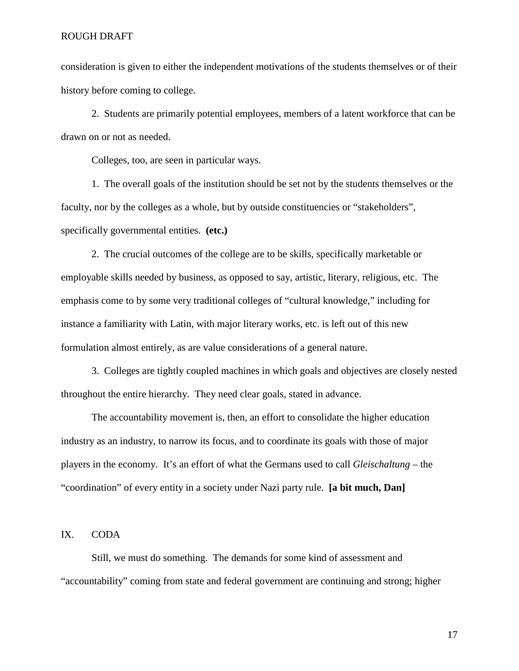consideration is given to either the independent motivations of the students themselves or of their history before coming to college.

 2. Students are primarily potential employees, members of a latent workforce that can be drawn on or not as needed.

Colleges, too, are seen in particular ways.

 1. The overall goals of the institution should be set not by the students themselves or the faculty, nor by the colleges as a whole, but by outside constituencies or "stakeholders", specifically governmental entities. **(etc.)**

 2. The crucial outcomes of the college are to be skills, specifically marketable or employable skills needed by business, as opposed to say, artistic, literary, religious, etc. The emphasis come to by some very traditional colleges of "cultural knowledge," including for instance a familiarity with Latin, with major literary works, etc. is left out of this new formulation almost entirely, as are value considerations of a general nature.

 3. Colleges are tightly coupled machines in which goals and objectives are closely nested throughout the entire hierarchy. They need clear goals, stated in advance.

 The accountability movement is, then, an effort to consolidate the higher education industry as an industry, to narrow its focus, and to coordinate its goals with those of major players in the economy. It's an effort of what the Germans used to call *Gleischaltung* – the "coordination" of every entity in a society under Nazi party rule. **[a bit much, Dan]**

# IX. CODA

 Still, we must do something. The demands for some kind of assessment and "accountability" coming from state and federal government are continuing and strong; higher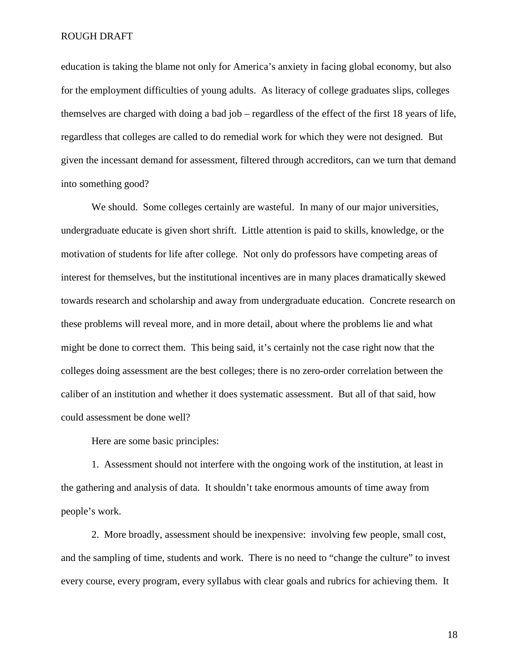education is taking the blame not only for America's anxiety in facing global economy, but also for the employment difficulties of young adults. As literacy of college graduates slips, colleges themselves are charged with doing a bad job – regardless of the effect of the first 18 years of life, regardless that colleges are called to do remedial work for which they were not designed. But given the incessant demand for assessment, filtered through accreditors, can we turn that demand into something good?

We should. Some colleges certainly are wasteful. In many of our major universities, undergraduate educate is given short shrift. Little attention is paid to skills, knowledge, or the motivation of students for life after college. Not only do professors have competing areas of interest for themselves, but the institutional incentives are in many places dramatically skewed towards research and scholarship and away from undergraduate education. Concrete research on these problems will reveal more, and in more detail, about where the problems lie and what might be done to correct them. This being said, it's certainly not the case right now that the colleges doing assessment are the best colleges; there is no zero-order correlation between the caliber of an institution and whether it does systematic assessment. But all of that said, how could assessment be done well?

Here are some basic principles:

 1. Assessment should not interfere with the ongoing work of the institution, at least in the gathering and analysis of data. It shouldn't take enormous amounts of time away from people's work.

 2. More broadly, assessment should be inexpensive: involving few people, small cost, and the sampling of time, students and work. There is no need to "change the culture" to invest every course, every program, every syllabus with clear goals and rubrics for achieving them. It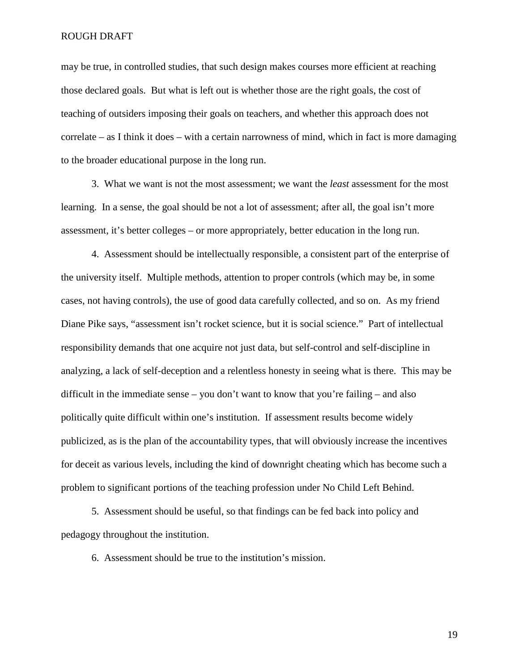may be true, in controlled studies, that such design makes courses more efficient at reaching those declared goals. But what is left out is whether those are the right goals, the cost of teaching of outsiders imposing their goals on teachers, and whether this approach does not correlate – as I think it does – with a certain narrowness of mind, which in fact is more damaging to the broader educational purpose in the long run.

 3. What we want is not the most assessment; we want the *least* assessment for the most learning. In a sense, the goal should be not a lot of assessment; after all, the goal isn't more assessment, it's better colleges – or more appropriately, better education in the long run.

 4. Assessment should be intellectually responsible, a consistent part of the enterprise of the university itself. Multiple methods, attention to proper controls (which may be, in some cases, not having controls), the use of good data carefully collected, and so on. As my friend Diane Pike says, "assessment isn't rocket science, but it is social science." Part of intellectual responsibility demands that one acquire not just data, but self-control and self-discipline in analyzing, a lack of self-deception and a relentless honesty in seeing what is there. This may be difficult in the immediate sense – you don't want to know that you're failing – and also politically quite difficult within one's institution. If assessment results become widely publicized, as is the plan of the accountability types, that will obviously increase the incentives for deceit as various levels, including the kind of downright cheating which has become such a problem to significant portions of the teaching profession under No Child Left Behind.

 5. Assessment should be useful, so that findings can be fed back into policy and pedagogy throughout the institution.

6. Assessment should be true to the institution's mission.